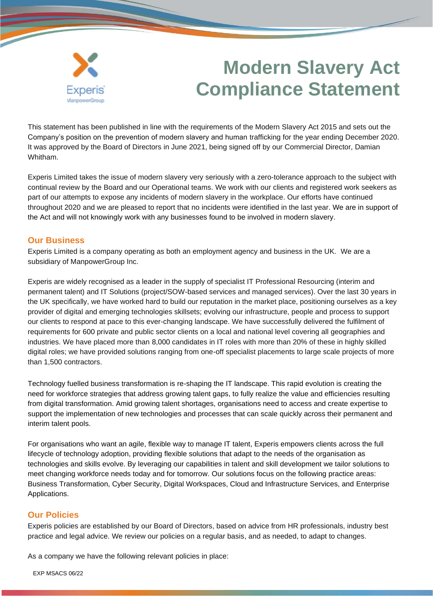

# **Modern Slavery Act Compliance Statement**

This statement has been published in line with the requirements of the Modern Slavery Act 2015 and sets out the Company's position on the prevention of modern slavery and human trafficking for the year ending December 2020. It was approved by the Board of Directors in June 2021, being signed off by our Commercial Director, Damian Whitham.

Experis Limited takes the issue of modern slavery very seriously with a zero-tolerance approach to the subject with continual review by the Board and our Operational teams. We work with our clients and registered work seekers as part of our attempts to expose any incidents of modern slavery in the workplace. Our efforts have continued throughout 2020 and we are pleased to report that no incidents were identified in the last year. We are in support of the Act and will not knowingly work with any businesses found to be involved in modern slavery.

#### **Our Business**

Experis Limited is a company operating as both an employment agency and business in the UK. We are a subsidiary of ManpowerGroup Inc.

Experis are widely recognised as a leader in the supply of specialist IT Professional Resourcing (interim and permanent talent) and IT Solutions (project/SOW-based services and managed services). Over the last 30 years in the UK specifically, we have worked hard to build our reputation in the market place, positioning ourselves as a key provider of digital and emerging technologies skillsets; evolving our infrastructure, people and process to support our clients to respond at pace to this ever-changing landscape. We have successfully delivered the fulfilment of requirements for 600 private and public sector clients on a local and national level covering all geographies and industries. We have placed more than 8,000 candidates in IT roles with more than 20% of these in highly skilled digital roles; we have provided solutions ranging from one-off specialist placements to large scale projects of more than 1,500 contractors.

Technology fuelled business transformation is re-shaping the IT landscape. This rapid evolution is creating the need for workforce strategies that address growing talent gaps, to fully realize the value and efficiencies resulting from digital transformation. Amid growing talent shortages, organisations need to access and create expertise to support the implementation of new technologies and processes that can scale quickly across their permanent and interim talent pools.

For organisations who want an agile, flexible way to manage IT talent, Experis empowers clients across the full lifecycle of technology adoption, providing flexible solutions that adapt to the needs of the organisation as technologies and skills evolve. By leveraging our capabilities in talent and skill development we tailor solutions to meet changing workforce needs today and for tomorrow. Our solutions focus on the following practice areas: Business Transformation, Cyber Security, Digital Workspaces, Cloud and Infrastructure Services, and Enterprise Applications.

## **Our Policies**

Experis policies are established by our Board of Directors, based on advice from HR professionals, industry best practice and legal advice. We review our policies on a regular basis, and as needed, to adapt to changes.

As a company we have the following relevant policies in place:

EXP MSACS 06/22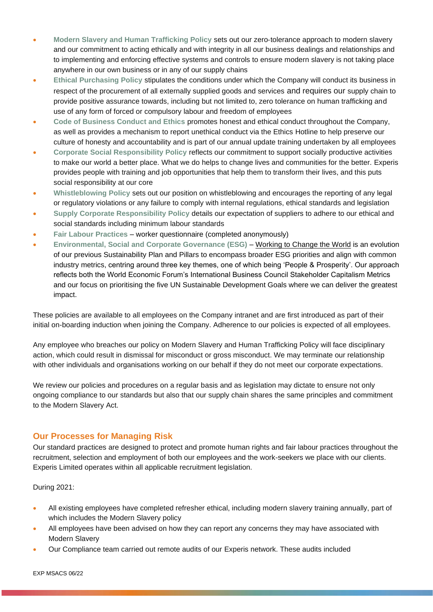- **Modern Slavery and Human Trafficking Policy** sets out our zero‐tolerance approach to modern slavery and our commitment to acting ethically and with integrity in all our business dealings and relationships and to implementing and enforcing effective systems and controls to ensure modern slavery is not taking place anywhere in our own business or in any of our supply chains
- **Ethical Purchasing Policy** stipulates the conditions under which the Company will conduct its business in respect of the procurement of all externally supplied goods and services and requires our supply chain to provide positive assurance towards, including but not limited to, zero tolerance on human trafficking and use of any form of forced or compulsory labour and freedom of employees
- **Code of Business Conduct and Ethics** promotes honest and ethical conduct throughout the Company, as well as provides a mechanism to report unethical conduct via the Ethics Hotline to help preserve our culture of honesty and accountability and is part of our annual update training undertaken by all employees
- **Corporate Social Responsibility Policy** reflects our commitment to support socially productive activities to make our world a better place. What we do helps to change lives and communities for the better. Experis provides people with training and job opportunities that help them to transform their lives, and this puts social responsibility at our core
- **Whistleblowing Policy** sets out our position on whistleblowing and encourages the reporting of any legal or regulatory violations or any failure to comply with internal regulations, ethical standards and legislation
- **Supply Corporate Responsibility Policy** details our expectation of suppliers to adhere to our ethical and social standards including minimum labour standards
- **Fair Labour Practices** worker questionnaire (completed anonymously)
- **Environmental, Social and Corporate Governance (ESG)** Working to [Change the World](https://www.manpowergroup.co.uk/wp-content/uploads/2021/07/MPG_working_to_change_the_world_2021.pdf) is an evolution of our previous Sustainability Plan and Pillars to encompass broader ESG priorities and align with common industry metrics, centring around three key themes, one of which being 'People & Prosperity'. Our approach reflects both the World Economic Forum's International Business Council Stakeholder Capitalism Metrics and our focus on prioritising the five UN Sustainable Development Goals where we can deliver the greatest impact.

These policies are available to all employees on the Company intranet and are first introduced as part of their initial on-boarding induction when joining the Company. Adherence to our policies is expected of all employees.

Any employee who breaches our policy on Modern Slavery and Human Trafficking Policy will face disciplinary action, which could result in dismissal for misconduct or gross misconduct. We may terminate our relationship with other individuals and organisations working on our behalf if they do not meet our corporate expectations.

We review our policies and procedures on a regular basis and as legislation may dictate to ensure not only ongoing compliance to our standards but also that our supply chain shares the same principles and commitment to the Modern Slavery Act.

#### **Our Processes for Managing Risk**

Our standard practices are designed to protect and promote human rights and fair labour practices throughout the recruitment, selection and employment of both our employees and the work-seekers we place with our clients. Experis Limited operates within all applicable recruitment legislation.

During 2021:

- All existing employees have completed refresher ethical, including modern slavery training annually, part of which includes the Modern Slavery policy
- All employees have been advised on how they can report any concerns they may have associated with Modern Slavery
- Our Compliance team carried out remote audits of our Experis network. These audits included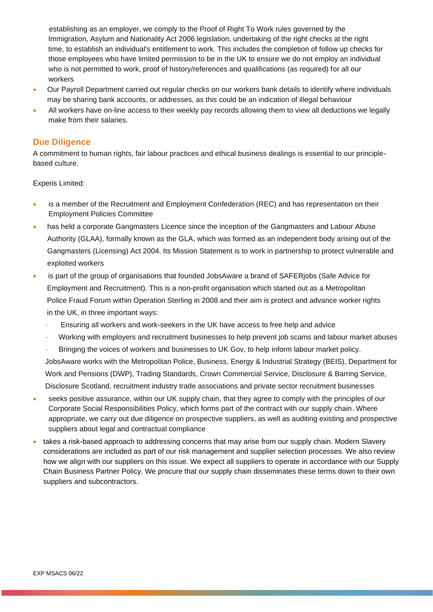establishing as an employer, we comply to the Proof of Right To Work rules governed by the Immigration, Asylum and Nationality Act 2006 legislation, undertaking of the right checks at the right time, to establish an individual's entitlement to work. This includes the completion of follow up checks for those employees who have limited permission to be in the UK to ensure we do not employ an individual who is not permitted to work, proof of history/references and qualifications (as required) for all our workers

- Our Payroll Department carried out regular checks on our workers bank details to identify where individuals may be sharing bank accounts, or addresses, as this could be an indication of illegal behaviour
- All workers have on-line access to their weekly pay records allowing them to view all deductions we legally make from their salaries.

### **Due Diligence**

A commitment to human rights, fair labour practices and ethical business dealings is essential to our principlebased culture.

Experis Limited:

- is a member of the Recruitment and Employment Confederation (REC) and has representation on their Employment Policies Committee
- has held a corporate Gangmasters Licence since the inception of the Gangmasters and Labour Abuse Authority (GLAA), formally known as the GLA, which was formed as an independent body arising out of the Gangmasters (Licensing) Act 2004. Its Mission Statement is to work in partnership to protect vulnerable and exploited workers
- is part of the group of organisations that founded JobsAware a brand of SAFERjobs (Safe Advice for Employment and Recruitment). This is a non-profit organisation which started out as a Metropolitan Police Fraud Forum within Operation Sterling in 2008 and their aim is protect and advance worker rights in the UK, in three important ways:
	- Ensuring all workers and work-seekers in the UK have access to free help and advice
	- Working with employers and recruitment businesses to help prevent job scams and labour market abuses
	- Bringing the voices of workers and businesses to UK Gov, to help inform labour market policy. JobsAware works with the Metropolitan Police, Business, Energy & Industrial Strategy (BEIS), Department for Work and Pensions (DWP), Trading Standards, Crown Commercial Service, Disclosure & Barring Service, Disclosure Scotland, recruitment industry trade associations and private sector recruitment businesses
- seeks positive assurance, within our UK supply chain, that they agree to comply with the principles of our Corporate Social Responsibilities Policy, which forms part of the contract with our supply chain. Where appropriate, we carry out due diligence on prospective suppliers, as well as auditing existing and prospective suppliers about legal and contractual compliance
- takes a risk-based approach to addressing concerns that may arise from our supply chain. Modern Slavery considerations are included as part of our risk management and supplier selection processes. We also review how we align with our suppliers on this issue. We expect all suppliers to operate in accordance with our Supply Chain Business Partner Policy. We procure that our supply chain disseminates these terms down to their own suppliers and subcontractors.